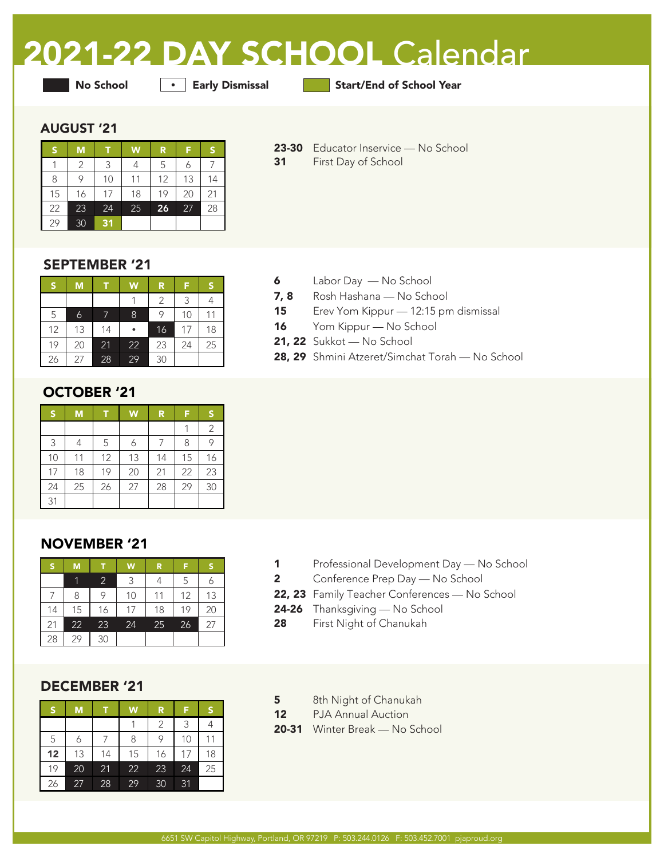# 2021-22 DAY SCHOOL Calendar

**•** Early Dismissal

No School **Early Dismissal** Start/End of School Year

#### AUGUST '21

| S  | M  |    | W  | R  |    | S  |
|----|----|----|----|----|----|----|
|    | 2  | ς  | 4  | 5  |    |    |
| 8  | 9  | 10 | 11 | 12 | 13 | 14 |
| 15 | 16 | 17 | 18 | 19 | 20 | 21 |
| 22 | 23 | 24 | 25 | 26 | 27 | 28 |
| 29 | 30 | 31 |    |    |    |    |

- 23-30 Educator Inservice No School
- 31 First Day of School

### SEPTEMBER '21

| S  | M  |    | W  | R  | F  | S  |
|----|----|----|----|----|----|----|
|    |    |    |    | 2  | 3  |    |
| 5  | 6  |    | 8  | 9  | 10 |    |
| 12 | 13 | 14 |    | 16 | 17 | 18 |
| 19 | 20 | 21 | 22 | 23 | 24 | 25 |
| 26 | 27 | 28 | 29 | 30 |    |    |

# OCTOBER '21

| S  | M  | т  | W  | R  | F  | 'S |
|----|----|----|----|----|----|----|
|    |    |    |    |    |    | 2  |
| 3  | 4  | 5  | 6  |    | 8  | 9  |
| 10 | 11 | 12 | 13 | 14 | 15 | 16 |
| 17 | 18 | 19 | 20 | 21 | 22 | 23 |
| 24 | 25 | 26 | 27 | 28 | 29 | 30 |
| 31 |    |    |    |    |    |    |

# NOVEMBER '21

| Ŗ  | M  | T              | W  | R  | F  | S  |
|----|----|----------------|----|----|----|----|
|    |    | $\overline{2}$ | 3  |    | 5  |    |
|    | 8  | 9              | 10 | 11 | 12 | 13 |
| 14 | 15 | 16             | 17 | 18 | 19 | 20 |
| 21 | 22 | 23             | 24 | 25 | 26 | 27 |
| 28 | 29 | 30             |    |    |    |    |

# DECEMBER '21

| S  | M  |    | W  | R  | F               | 'S |
|----|----|----|----|----|-----------------|----|
|    |    |    |    | 2  | 3               |    |
| 5  | 6  |    | 8  | 9  | 10              |    |
| 12 | 13 | 14 | 15 | 16 | 17              | 18 |
| 19 | 20 | 21 | 22 | 23 | 24              | 25 |
| 26 | 27 | 28 | 29 | 30 | $\overline{31}$ |    |

- 6 Labor Day No School
- 7, 8 Rosh Hashana No School
- 15 Erev Yom Kippur 12:15 pm dismissal
- 16 Yom Kippur No School
- 21, 22 Sukkot No School
- 28, 29 Shmini Atzeret/Simchat Torah No School

- 1 Professional Development Day No School
- 2 Conference Prep Day No School
- 22, 23 Family Teacher Conferences No School
- 24-26 Thanksgiving No School
- 28 First Night of Chanukah
- 5 8th Night of Chanukah
- 12 PJA Annual Auction
- 20-31 Winter Break No School